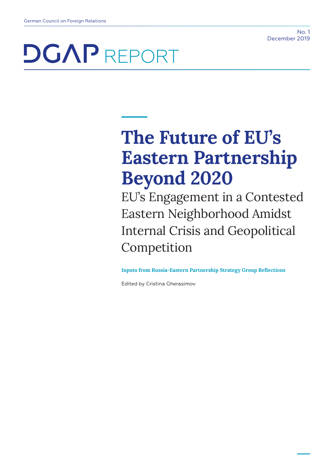# **The Future of EU's Eastern Partnership Beyond 2020**

EU's Engagement in a Contested Eastern Neighborhood Amidst Internal Crisis and Geopolitical Competition

**Inputs from Russia-Eastern Partnership Strategy Group Reflections**

Edited by Cristina Gherasimov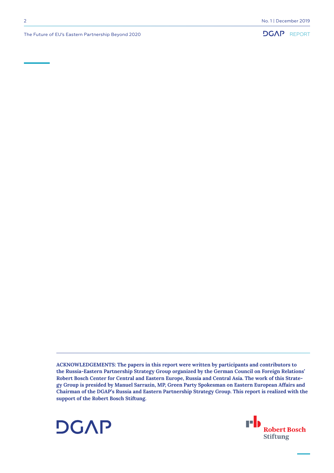

The Future of EU's Eastern Partnership Beyond 2020

**ACKNOWLEDGEMENTS: The papers in this report were written by participants and contributors to the Russia-Eastern Partnership Strategy Group organized by the German Council on Foreign Relations' Robert Bosch Center for Central and Eastern Europe, Russia and Central Asia. The work of this Strategy Group is presided by Manuel Sarrazin, MP, Green Party Spokesman on Eastern European Affairs and Chairman of the DGAP's Russia and Eastern Partnership Strategy Group. This report is realized with the support of the Robert Bosch Stiftung.**



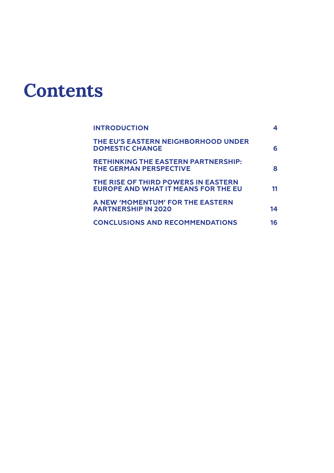# **Contents**

| <b>INTRODUCTION</b>                                                               |    |
|-----------------------------------------------------------------------------------|----|
| THE EU'S EASTERN NEIGHBORHOOD UNDER<br><b>DOMESTIC CHANGE</b>                     | 6  |
| <b>RETHINKING THE EASTERN PARTNERSHIP:</b><br><b>THE GERMAN PERSPECTIVE</b>       | 8  |
| THE RISE OF THIRD POWERS IN EASTERN<br><b>EUROPE AND WHAT IT MEANS FOR THE EU</b> | 11 |
| A NEW 'MOMENTUM' FOR THE EASTERN<br><b>PARTNERSHIP IN 2020</b>                    | 14 |
| <b>CONCLUSIONS AND RECOMMENDATIONS</b>                                            | 16 |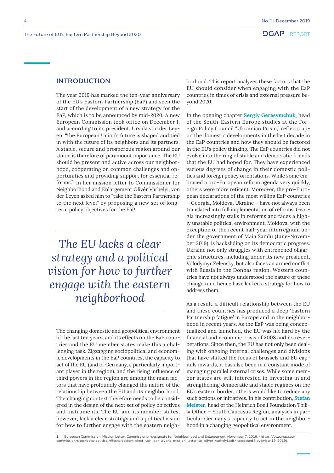# <span id="page-3-0"></span>INTRODUCTION

The year 2019 has marked the ten-year anniversary of the EU's Eastern Partnership (EaP) and seen the start of the development of a new strategy for the EaP, which is to be announced by mid-2020. A new European Commission took office on December 1, and according to its president, Ursula von der Leyen, "the European Union's future is shaped and tied in with the future of its neighbors and its partners. A stable, secure and prosperous region around our Union is therefore of paramount importance. The EU should be present and active across our neighborhood, cooperating on common challenges and opportunities and providing support for essential reforms."1 In her mission letter to Commissioner for Neighborhood and Enlargement Olivér Várhelyi, von der Leyen asked him to "take the Eastern Partnership to the next level" by proposing a new set of longterm policy objectives for the EaP.

*The EU lacks a clear strategy and a political vision for how to further engage with the eastern neighborhood*

The changing domestic and geopolitical environment of the last ten years, and its effects on the EaP countries and the EU member states make this a challenging task. Zigzagging sociopolitical and economic developments in the EaP countries, the capacity to act of the EU (and of Germany, a particularly important player in the region), and the rising influence of third powers in the region are among the main factors that have profoundly changed the nature of the relationship between the EU and its neighborhood. The changing context therefore needs to be considered in the design of the next set of policy objectives and instruments. The EU and its member states, however, lack a clear strategy and a political vision for how to further engage with the eastern neighborhood. This report analyzes these factors that the EU should consider when engaging with the EaP countries in times of crisis and external pressure beyond 2020.

In the opening chapter **Sergiy Gerasymchuk**, head of the South-Eastern Europe studies at the Foreign Policy Council "Ukrainian Prism," reflects upon the domestic developments in the last decade in the EaP countries and how they should be factored in the EU's policy thinking. The EaP countries did not evolve into the ring of stable and democratic friends that the EU had hoped for. They have experienced various degrees of change in their domestic politics and foreign policy orientations. While some embraced a pro-European reform agenda very quickly, others were more reticent. Moreover, the pro-European declarations of the most willing EaP countries – Georgia, Moldova, Ukraine – have not always been translated into full implementation of reforms. Georgia increasingly stalls in reforms and faces a highly unstable political environment. Moldova, with the exception of the recent half-year interregnum under the government of Maia Sandu (June-November 2019), is backsliding on its democratic progress. Ukraine not only struggles with entrenched oligarchic structures, including under its new president, Volodymyr Zelensky, but also faces an armed conflict with Russia in the Donbas region. Western countries have not always understood the nature of these changes and hence have lacked a strategy for how to address them.

As a result, a difficult relationship between the EU and these countries has produced a deep 'Eastern Partnership fatigue' in Europe and in the neighborhood in recent years. As the EaP was being conceptualized and launched, the EU was hit hard by the financial and economic crisis of 2008 and its reverberations. Since then, the EU has not only been dealing with ongoing internal challenges and divisions that have shifted the focus of Brussels and EU capitals inwards, it has also been in a constant mode of managing parallel external crises. While some member states are still interested in investing in and strengthening democratic and stable regimes on the EU's eastern border, others would like to reduce any such actions or initiatives. In his contribution, **Stefan Meister**, head of the Heinrich Boell Foundation Tbilisi Office – South Caucasus Region, analyses in particular Germany's capacity to act in the neighborhood in a changing geopolitical environment.

1 European Commission, Mission Letter, Commissioner-designate for Neighborhood and Enlargement, November 7, 2019. <https://ec.europa.eu/ commission/sites/beta-political/files/president-elect\_von\_der\_leyens\_mission\_letter\_to\_oliver\_varhelyi.pdf> (accessed November 19, 2019).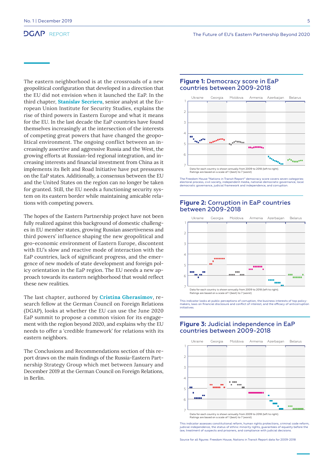The eastern neighborhood is at the crossroads of a new geopolitical configuration that developed in a direction that the EU did not envision when it launched the EaP. In the third chapter, **Stanislav Secrieru**, senior analyst at the European Union Institute for Security Studies, explains the rise of third powers in Eastern Europe and what it means for the EU. In the last decade the EaP countries have found themselves increasingly at the intersection of the interests of competing great powers that have changed the geopolitical environment. The ongoing conflict between an increasingly assertive and aggressive Russia and the West, the growing efforts at Russian-led regional integration, and increasing interests and financial investment from China as it implements its Belt and Road Initiative have put pressures on the EaP states. Additionally, a consensus between the EU and the United States on the region can no longer be taken for granted. Still, the EU needs a functioning security system on its eastern border while maintaining amicable relations with competing powers.

The hopes of the Eastern Partnership project have not been fully realized against this background of domestic challenges in EU member states, growing Russian assertiveness and third powers' influence shaping the new geopolitical and geo-economic environment of Eastern Europe, discontent with EU's slow and reactive mode of interaction with the EaP countries, lack of significant progress, and the emergence of new models of state development and foreign policy orientation in the EaP region. The EU needs a new approach towards its eastern neighborhood that would reflect these new realities.

The last chapter, authored by **Cristina Gherasimov**, research fellow at the German Council on Foreign Relations (DGAP), looks at whether the EU can use the June 2020 EaP summit to propose a common vision for its engagement with the region beyond 2020, and explains why the EU needs to offer a 'credible framework' for relations with its eastern neighbors.

The Conclusions and Recommendations section of this report draws on the main findings of the Russia-Eastern Partnership Strategy Group which met between January and December 2019 at the German Council on Foreign Relations, in Berlin.

### **Figure 1:** Democracy score in EaP countries between 2009-2018



The Freedom House "Nations in Transit Report" democracy score covers seven categories: electoral process, civil society, independent media, national democratic governance, local democratic governance, judicial framework and independence, and corruption.

## **Figure 2:** Corruption in EaP countries between 2009-2018



This indicator looks at public perceptions of corruption, the business interests of top policy-makers, laws on financial disclosure and conflict of interest, and the efficacy of anticorruption initiatives.

# **Figure 3:** Judicial independence in EaP countries between 2009-2018



This indicator assesses constitutional reform, human rights protections, criminal code reform,<br>judicial independence, the status of ethnic minority rights, guarantees of equality before the<br>law, treatment of suspects and p

Source for all figures: Freedom House, Nations in Transit Report data for 2009-2018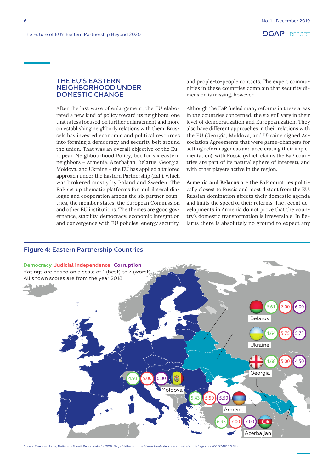# <span id="page-5-0"></span>THE EU'S EASTERN NEIGHBORHOOD UNDER DOMESTIC CHANGE

After the last wave of enlargement, the EU elaborated a new kind of policy toward its neighbors, one that is less focused on further enlargement and more on establishing neighborly relations with them. Brussels has invested economic and political resources into forming a democracy and security belt around the union. That was an overall objective of the European Neighbourhood Policy, but for six eastern neighbors – Armenia, Azerbaijan, Belarus, Georgia, Moldova, and Ukraine – the EU has applied a tailored approach under the Eastern Partnership (EaP), which was brokered mostly by Poland and Sweden. The EaP set up thematic platforms for multilateral dialogue and cooperation among the six partner countries, the member states, the European Commission and other EU institutions. The themes are good governance, stability, democracy, economic integration and convergence with EU policies, energy security,

and people-to-people contacts. The expert communities in these countries complain that security dimension is missing, however.

Although the EaP fueled many reforms in these areas in the countries concerned, the six still vary in their level of democratization and Europeanization. They also have different approaches in their relations with the EU (Georgia, Moldova, and Ukraine signed Association Agreements that were game-changers for setting reform agendas and accelerating their implementation), with Russia (which claims the EaP countries are part of its natural sphere of interest), and with other players active in the region.

**Armenia and Belarus** are the EaP countries politically closest to Russia and most distant from the EU. Russian domination affects their domestic agenda and limits the speed of their reforms. The recent developments in Armenia do not prove that the country's domestic transformation is irreversible. In Belarus there is absolutely no ground to expect any



Source: Freedom House, Nations in Transit Report data for 2018; Flags: Vathanx, https://www.iconfinder.com/iconsets/world-flag-icons (CC BY-NC 3.0 NL)

# **Figure 4:** Eastern Partnership Countries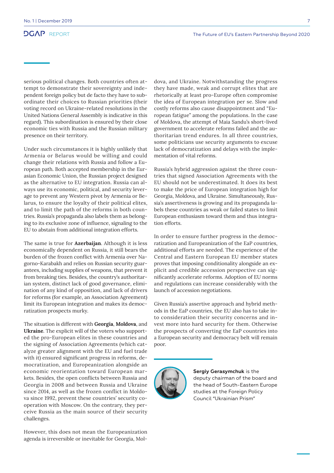serious political changes. Both countries often attempt to demonstrate their sovereignty and independent foreign policy but de facto they have to subordinate their choices to Russian priorities (their voting record on Ukraine-related resolutions in the United Nations General Assembly is indicative in this regard). This subordination is ensured by their close economic ties with Russia and the Russian military presence on their territory.

Under such circumstances it is highly unlikely that Armenia or Belarus would be willing and could change their relations with Russia and follow a European path. Both accepted membership in the Eurasian Economic Union, the Russian project designed as the alternative to EU integration. Russia can always use its economic, political, and security leverage to prevent any Western pivot by Armenia or Belarus, to ensure the loyalty of their political elites, and to limit the path of the reforms in both countries. Russia's propaganda also labels them as belonging to its exclusive zone of influence, signaling to the EU to abstain from additional integration efforts.

The same is true for **Azerbaijan**. Although it is less economically dependent on Russia, it still bears the burden of the frozen conflict with Armenia over Nagorno-Karabakh and relies on Russian security guarantees, including supplies of weapons, that prevent it from breaking ties. Besides, the country's authoritarian system, distinct lack of good governance, elimination of any kind of opposition, and lack of drivers for reforms (for example, an Association Agreement) limit its European integration and makes its democratization prospects murky.

The situation is different with **Georgia**, **Moldova**, and **Ukraine**. The explicit will of the voters who supported the pro-European elites in these countries and the signing of Association Agreements (which catalyze greater alignment with the EU and fuel trade with it) ensured significant progress in reforms, democratization, and Europeanization alongside an economic reorientation toward European markets. Besides, the open conflicts between Russia and Georgia in 2008 and between Russia and Ukraine since 2014, as well as the frozen conflict in Moldova since 1992, prevent these countries' security cooperation with Moscow. On the contrary, they perceive Russia as the main source of their security challenges.

However, this does not mean the Europeanization agenda is irreversible or inevitable for Georgia, Moldova, and Ukraine. Notwithstanding the progress they have made, weak and corrupt elites that are rhetorically at least pro-Europe often compromise the idea of European integration per se. Slow and costly reforms also cause disappointment and "European fatigue" among the populations. In the case of Moldova, the attempt of Maia Sandu's short-lived government to accelerate reforms failed and the authoritarian trend endures. In all three countries, some politicians use security arguments to excuse lack of democratization and delays with the implementation of vital reforms.

Russia's hybrid aggression against the three countries that signed Association Agreements with the EU should not be underestimated. It does its best to make the price of European integration high for Georgia, Moldova, and Ukraine. Simultaneously, Russia's assertiveness is growing and its propaganda labels these countries as weak or failed states to limit European enthusiasm toward them and thus integration efforts.

In order to ensure further progress in the democratization and Europeanization of the EaP countries, additional efforts are needed. The experience of the Central and Eastern European EU member states proves that imposing conditionality alongside an explicit and credible accession perspective can significantly accelerate reforms. Adoption of EU norms and regulations can increase considerably with the launch of accession negotiations.

Given Russia's assertive approach and hybrid methods in the EaP countries, the EU also has to take into consideration their security concerns and invest more into hard security for them. Otherwise the prospects of converting the EaP countries into a European security and democracy belt will remain poor.



**Sergiy Gerasymchuk** is the deputy chairman of the board and the head of South-Eastern Europe studies at the Foreign Policy Council "Ukrainian Prism"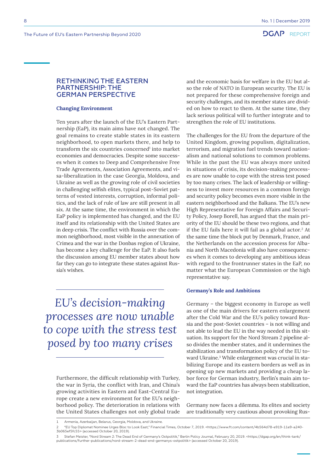# <span id="page-7-0"></span>RETHINKING THE EASTERN PARTNERSHIP: THE GERMAN PERSPECTIVE

#### **Changing Environment**

Ten years after the launch of the EU's Eastern Partnership (EaP), its main aims have not changed. The goal remains to create stable states in its eastern neighborhood, to open markets there, and help to transform the six countries concerned<sup>1</sup> into market economies and democracies. Despite some successes when it comes to Deep and Comprehensive Free Trade Agreements, Association Agreements, and visa-liberalization in the case Georgia, Moldova, and Ukraine as well as the growing role of civil societies in challenging selfish elites, typical post-Soviet patterns of vested interests, corruption, informal politics, and the lack of rule of law are still present in all six. At the same time, the environment in which the EaP policy is implemented has changed, and the EU itself and its relationship with the United States are in deep crisis. The conflict with Russia over the common neighborhood, most visible in the annexation of Crimea and the war in the Donbas region of Ukraine, has become a key challenge for the EaP. It also fuels the discussion among EU member states about how far they can go to integrate these states against Russia's wishes.

*EU's decision-making processes are now unable to cope with the stress test posed by too many crises*

Furthermore, the difficult relationship with Turkey, the war in Syria, the conflict with Iran, and China's growing activities in Eastern and East-Central Europe create a new environment for the EU's neighborhood policy. The deterioration in relations with the United States challenges not only global trade

and the economic basis for welfare in the EU but also the role of NATO in European security. The EU is not prepared for these comprehensive foreign and security challenges, and its member states are divided on how to react to them. At the same time, they lack serious political will to further integrate and to strengthen the role of EU institutions.

The challenges for the EU from the departure of the United Kingdom, growing populism, digitalization, terrorism, and migration fuel trends toward nationalism and national solutions to common problems. While in the past the EU was always more united in situations of crisis, its decision-making processes are now unable to cope with the stress test posed by too many crises. The lack of leadership or willingness to invest more resources in a common foreign and security policy becomes even more visible in the eastern neighborhood and the Balkans. The EU's new High Representative for Foreign Affairs and Security Policy, Josep Borell, has argued that the main priority of the EU should be these two regions, and that if the EU fails here it will fail as a global actor.<sup>2</sup> At the same time the block put by Denmark, France, and the Netherlands on the accession process for Albania and North Macedonia will also have consequences when it comes to developing any ambitious ideas with regard to the frontrunner states in the EaP, no matter what the European Commission or the high representative say.

#### **Germany's Role and Ambitions**

Germany – the biggest economy in Europe as well as one of the main drivers for eastern enlargement after the Cold War and the EU's policy toward Russia and the post-Soviet countries – is not willing and not able to lead the EU in the way needed in this situation. Its support for the Nord Stream 2 pipeline also divides the member states, and it undermines the stabilization and transformation policy of the EU toward Ukraine.<sup>3</sup> While enlargement was crucial in stabilizing Europe and its eastern borders as well as in opening up new markets and providing a cheap labor force for German industry, Berlin's main aim toward the EaP countries has always been stabilization, not integration.

Germany now faces a dilemma. Its elites and society are traditionally very cautious about provoking Rus-

Armenia, Azerbaijan, Belarus, Georgia, Moldova, and Ukraine.

<sup>2</sup> "EU Top Diplomat Nominee Urges Bloc to Look East," Financial Times, October 7, 2019. <https://www.ft.com/content/4b564d78-e919-11e9-a240- 3b065ef5fc55> (accessed October 20, 2019).

<sup>3</sup> Stefan Meister, "Nord Stream 2: The Dead End of Germany's Ostpolitik," Berlin Policy Journal, February 20, 2019. <https://dgap.org/en/think-tank/ publications/further-publications/nord-stream-2-dead-end-germanys-ostpolitik> (accessed October 20, 2019).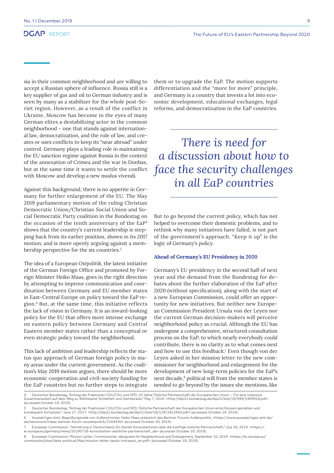sia in their common neighborhood and are willing to accept a Russian sphere of influence. Russia still is a key supplier of gas and oil to German industry and is seen by many as a stabilizer for the whole post-Soviet region. However, as a result of the conflict in Ukraine, Moscow has become in the eyes of many German elites a destabilizing actor in the common neighborhood – one that stands against international law, democratization, and the rule of law, and creates or uses conflicts to keep its "near abroad" under control. Germany plays a leading role in maintaining the EU sanction regime against Russia in the context of the annexation of Crimea and the war in Donbas, but at the same time it wants to settle the conflict with Moscow and develop a new modus vivendi.

Against this background, there is no appetite in Germany for further enlargement of the EU. The May 2019 parliamentary motion of the ruling Christian Democratic Union/Christian Social Union and Social Democratic Party coalition in the Bundestag on the occasion of the tenth anniversary of the EaP4 shows that the country's current leadership is stepping back from its earlier position, shown in its 2017 motion, and is more openly arguing against a membership perspective for the six countries.5

The idea of a European *Ostpolitik*, the latest initiative of the German Foreign Office and promoted by Foreign Minister Heiko Maas, goes in the right direction by attempting to improve communication and coordination between Germany and EU member states in East-Central Europe on policy toward the EaP region.6 But, at the same time, this initiative reflects the lack of vision in Germany. It is an inward-looking policy for the EU that offers more intense exchange on eastern policy between Germany and Central Eastern member states rather than a conceptual or even strategic policy toward the neighborhood.

This lack of ambition and leadership reflects the status quo approach of German foreign policy in many areas under the current government. As the coalition's May 2019 motion argues, there should be more economic cooperation and civil-society funding for the EaP countries but no further steps to integrate them or to upgrade the EaP. The motion supports differentiation and the "more for more" principle, and Germany is a country that invests a lot into economic development, educational exchanges, legal reforms, and democratization in the EaP countries.

*There is need for a discussion about how to face the security challenges in all EaP countries*

But to go beyond the current policy, which has not helped to overcome their domestic problems, and to rethink why many initiatives have failed, is not part of the government's approach. "Keep it up" is the logic of Germany's policy.

### **Ahead of Germany's EU Presidency in 2020**

Germany's EU presidency in the second half of next year and the demand from the Bundestag for debates about the further elaboration of the EaP after 2020 (without specification), along with the start of a new European Commission, could offer an opportunity for new initiatives. But neither new European Commission President Ursula von der Leyen nor the current German decision-makers will perceive neighborhood policy as crucial. Although the EU has undergone a comprehensive, structured consultation process on the EaP, to which nearly everybody could contribute, there is no clarity as to what comes next and how to use this feedback.<sup>7</sup> Even though von der Leyen asked in her mission letter to the new commissioner for neighborhood and enlargement for the development of new long-term policies for the EaP's next decade,<sup>8</sup> political will from the member states is needed to go beyond by the issues she mentions, like

<sup>4 —</sup> Deutscher Bundestag, "Antrag der Fraktionen CDU/CSU und SPD, 10 Jahre Östliche Partnerschaft der Europäischen Union – Für eine intensive<br>Zusammenarbeit auf dem Weg zu Wohlstand, Sicherheit und Demokratie," May 7, 2019. Zusammenarbeit auf dem We<br>(accessed October 19, 2019).

<sup>5</sup> Deutscher Bundestag, "Antrag der Fraktionen CDU/CSU und SPD, Östliche Partnerschaft der Europäischen Union entschlossen gestalten und konsequent fortsetzen," June 27, 2017. <http://dip21.bundestag.de/dip21/btd/18/129/1812942.pdf> (accessed October 19, 2019).

<sup>6</sup> Auswärtiges Amt, Begrüßungsrede von Außenminister Heiko Maas anlässlich des Berliner Forums Außenpolitik, <https://www.auswaertiges-amt.de/ de/newsroom/maas-berliner-forum-aussenpolitik/2164430> (accessed October 20, 2019).

<sup>7</sup> European Commission, "Vertretung in Deutschland, EU startet Konsultationen über die künftige östliche Partnerschaft," July 26, 2019. <https:// ec.europa.eu/germany/news/20190726-konsultation-oestliche-partnerschaft\_de> (accessed October 19, 2019).

<sup>8</sup> European Commission, Mission Letter, Commissioner-designate for Neighborhood and Enlargement, September 10, 2019. <https://ec.europa.eu/ commission/sites/beta-political/files/mission-letter-laszlo-trocsanyi\_en.pdf> (accessed October 19, 2019).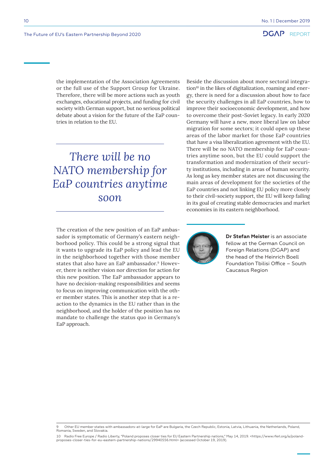the implementation of the Association Agreements or the full use of the Support Group for Ukraine. Therefore, there will be more actions such as youth exchanges, educational projects, and funding for civil society with German support, but no serious political debate about a vision for the future of the EaP countries in relation to the EU.

*There will be no NATO membership for EaP countries anytime soon*

The creation of the new position of an EaP ambassador is symptomatic of Germany's eastern neighborhood policy. This could be a strong signal that it wants to upgrade its EaP policy and lead the EU in the neighborhood together with those member states that also have an EaP ambassador.<sup>9</sup> However, there is neither vision nor direction for action for this new position. The EaP ambassador appears to have no decision-making responsibilities and seems to focus on improving communication with the other member states. This is another step that is a reaction to the dynamics in the EU rather than in the neighborhood, and the holder of the position has no mandate to challenge the status quo in Germany's EaP approach.

Beside the discussion about more sectoral integration<sup>10</sup> in the likes of digitalization, roaming and energy, there is need for a discussion about how to face the security challenges in all EaP countries, how to improve their socioeconomic development, and how to overcome their post-Soviet legacy. In early 2020 Germany will have a new, more liberal law on labor migration for some sectors; it could open up these areas of the labor market for those EaP countries that have a visa liberalization agreement with the EU. There will be no NATO membership for EaP countries anytime soon, but the EU could support the transformation and modernization of their security institutions, including in areas of human security. As long as key member states are not discussing the main areas of development for the societies of the EaP countries and not linking EU policy more closely to their civil-society support, the EU will keep failing in its goal of creating stable democracies and market economies in its eastern neighborhood.



**Dr Stefan Meister** is an associate fellow at the German Council on Foreign Relations (DGAP) and the head of the Heinrich Boell Foundation Tbilisi Office – South Caucasus Region

<sup>9</sup> Other EU member states with ambassadors-at-large for EaP are Bulgaria, the Czech Republic, Estonia, Latvia, Lithuania, the Netherlands, Poland, Romania, Sweden, and Slovakia.

<sup>10</sup> Radio Free Europe / Radio Liberty, "Poland proposes closer ties for EU Eastern Partnership nations," May 14, 2019. <https://www.rferl.org/a/poland-<br>proposes-closer-ties-for-eu-eastern-partnership-nations/29940556.html>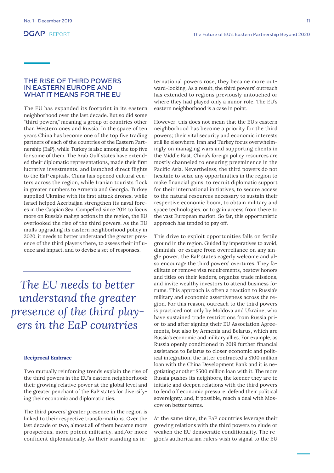# <span id="page-10-0"></span>THE RISE OF THIRD POWERS IN EASTERN EUROPE AND WHAT IT MEANS FOR THE EU

The EU has expanded its footprint in its eastern neighborhood over the last decade. But so did some "third powers," meaning a group of countries other than Western ones and Russia. In the space of ten years China has become one of the top five trading partners of each of the countries of the Eastern Partnership (EaP), while Turkey is also among the top five for some of them. The Arab Gulf states have extended their diplomatic representations, made their first lucrative investments, and launched direct flights to the EaP capitals. China has opened cultural centers across the region, while Iranian tourists flock in greater numbers to Armenia and Georgia. Turkey supplied Ukraine with its first attack drones, while Israel helped Azerbaijan strengthen its naval forces in the Caspian Sea. Compelled since 2014 to focus more on Russia's malign actions in the region, the EU overlooked the rise of the third powers. As the EU mulls upgrading its eastern neighborhood policy in 2020, it needs to better understand the greater presence of the third players there, to assess their influence and impact, and to devise a set of responses.

*The EU needs to better understand the greater presence of the third players in the EaP countries*

#### **Reciprocal Embrace**

Two mutually reinforcing trends explain the rise of the third powers in the EU's eastern neighborhood: their growing relative power at the global level and the greater penchant of the EaP states for diversifying their economic and diplomatic ties.

The third powers' greater presence in the region is linked to their respective transformations. Over the last decade or two, almost all of them became more prosperous, more potent militarily, and/or more confident diplomatically. As their standing as international powers rose, they became more outward-looking. As a result, the third powers' outreach has extended to regions previously untouched or where they had played only a minor role. The EU's eastern neighborhood is a case in point.

However, this does not mean that the EU's eastern neighborhood has become a priority for the third powers; their vital security and economic interests still lie elsewhere. Iran and Turkey focus overwhelmingly on managing wars and supporting clients in the Middle East. China's foreign policy resources are mostly channeled to ensuring preeminence in the Pacific Asia. Nevertheless, the third powers do not hesitate to seize any opportunities in the region to make financial gains, to recruit diplomatic support for their international initiatives, to secure access to the natural resources necessary to sustain their respective economic boom, to obtain military and space technologies, or to gain access from there to the vast European market. So far, this opportunistic approach has tended to pay off.

This drive to exploit opportunities falls on fertile ground in the region. Guided by imperatives to avoid, diminish, or escape from overreliance on any single power, the EaP states eagerly welcome and also encourage the third powers' overtures. They facilitate or remove visa requirements, bestow honors and titles on their leaders, organize trade missions, and invite wealthy investors to attend business forums. This approach is often a reaction to Russia's military and economic assertiveness across the region. For this reason, outreach to the third powers is practiced not only by Moldova and Ukraine, who have sustained trade restrictions from Russia prior to and after signing their EU Association Agreements, but also by Armenia and Belarus, which are Russia's economic and military allies. For example, as Russia openly conditioned in 2019 further financial assistance to Belarus to closer economic and political integration, the latter contracted a \$100 million loan with the China Development Bank and it is negotiating another \$500 million loan with it. The more Russia pushes its neighbors, the keener they are to initiate and deepen relations with the third powers to fend off economic pressure, defend their political sovereignty, and, if possible, reach a deal with Moscow on better terms.

At the same time, the EaP countries leverage their growing relations with the third powers to elude or weaken the EU democratic conditionality. The region's authoritarian rulers wish to signal to the EU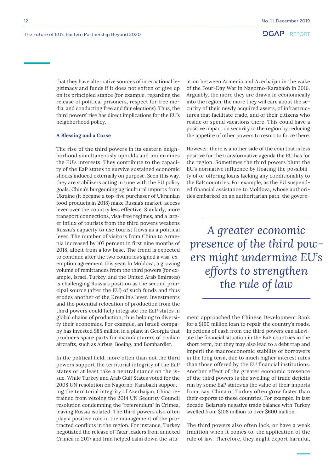that they have alternative sources of international legitimacy and funds if it does not soften or give up on its principled stance (for example, regarding the release of political prisoners, respect for free media, and conducting free and fair elections). Thus, the third powers' rise has direct implications for the EU's neighborhood policy.

#### **A Blessing and a Curse**

The rise of the third powers in its eastern neighborhood simultaneously upholds and undermines the EU's interests. They contribute to the capacity of the EaP states to survive sustained economic shocks induced externally on purpose. Seen this way, they are stabilizers acting in tune with the EU policy goals. China's burgeoning agricultural imports from Ukraine (it became a top-five purchaser of Ukrainian food products in 2018) make Russia's market-access lever over the country less effective. Similarly, more transport connections, visa-free regimes, and a larger influx of tourists from the third powers weakens Russia's capacity to use tourist flows as a political lever. The number of visitors from China to Armenia increased by 107 percent in first nine months of 2018, albeit from a low base. The trend is expected to continue after the two countries signed a visa-exemption agreement this year. In Moldova, a growing volume of remittances from the third powers (for example, Israel, Turkey, and the United Arab Emirates) is challenging Russia's position as the second principal source (after the EU) of such funds and thus erodes another of the Kremlin's lever. Investments and the potential relocation of production from the third powers could help integrate the EaP states in global chains of production, thus helping to diversify their economies. For example, an Israeli company has invested \$85 million in a plant in Georgia that produces spare parts for manufacturers of civilian aircrafts, such as Airbus, Boeing, and Bombardier.

In the political field, more often than not the third powers support the territorial integrity of the EaP states or at least take a neutral stance on the issue. While Turkey and Arab Gulf States voted for the 2008 UN resolution on Nagorno-Karabakh supporting the territorial integrity of Azerbaijan, China refrained from vetoing the 2014 UN Security Council resolution condemning the "referendum" in Crimea, leaving Russia isolated. The third powers also often play a positive role in the management of the protracted conflicts in the region. For instance, Turkey negotiated the release of Tatar leaders from annexed Crimea in 2017 and Iran helped calm down the situation between Armenia and Azerbaijan in the wake of the Four-Day War in Nagorno-Karabakh in 2016. Arguably, the more they are drawn in economically into the region, the more they will care about the security of their newly acquired assets, of infrastructures that facilitate trade, and of their citizens who reside or spend vacations there. This could have a positive impact on security in the region by reducing the appetite of other powers to resort to force there.

However, there is another side of the coin that is less positive for the transformative agenda the EU has for the region. Sometimes the third powers blunt the EU's normative influence by floating the possibility of or offering loans lacking any conditionality to the EaP countries. For example, as the EU suspended financial assistance to Moldova, whose authorities embarked on an authoritarian path, the govern-

*A greater economic presence of the third powers might undermine EU's efforts to strengthen the rule of law*

ment approached the Chinese Development Bank for a \$190 million loan to repair the country's roads. Injections of cash from the third powers can alleviate the financial situation in the EaP countries in the short term, but they may also lead to a debt trap and imperil the macroeconomic stability of borrowers in the long term, due to much higher interest rates than those offered by the EU financial institutions. Another effect of the greater economic presence of the third powers is the swelling of trade deficits run by some EaP states as the value of their imports from, say, China or Turkey often grow faster than their exports to these countries. For example, in last decade, Belarus's negative trade balance with Turkey swelled from \$108 million to over \$600 million.

The third powers also often lack, or have a weak tradition when it comes to, the application of the rule of law. Therefore, they might export harmful,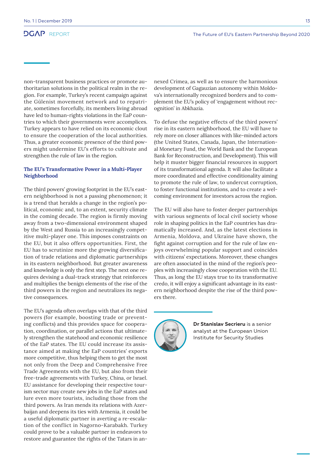non-transparent business practices or promote authoritarian solutions in the political realm in the region. For example, Turkey's recent campaign against the Gülenist movement network and to repatriate, sometimes forcefully, its members living abroad have led to human-rights violations in the EaP countries to which their governments were accomplices. Turkey appears to have relied on its economic clout to ensure the cooperation of the local authorities. Thus, a greater economic presence of the third powers might undermine EU's efforts to cultivate and strengthen the rule of law in the region.

### **The EU's Transformative Power in a Multi-Player Neighborhood**

The third powers' growing footprint in the EU's eastern neighborhood is not a passing phenomenon; it is a trend that heralds a change in the region's political, economic and, to an extent, security climate in the coming decade. The region is firmly moving away from a two-dimensional environment shaped by the West and Russia to an increasingly competitive multi-player one. This imposes constraints on the EU, but it also offers opportunities. First, the EU has to scrutinize more the growing diversification of trade relations and diplomatic partnerships in its eastern neighborhood. But greater awareness and knowledge is only the first step. The next one requires devising a dual-track strategy that reinforces and multiplies the benign elements of the rise of the third powers in the region and neutralizes its negative consequences.

The EU's agenda often overlaps with that of the third powers (for example, boosting trade or preventing conflicts) and this provides space for cooperation, coordination, or parallel actions that ultimately strengthen the statehood and economic resilience of the EaP states. The EU could increase its assistance aimed at making the EaP countries' exports more competitive, thus helping them to get the most not only from the Deep and Comprehensive Free Trade Agreements with the EU, but also from their free-trade agreements with Turkey, China, or Israel. EU assistance for developing their respective tourism sector may create new jobs in the EaP states and lure even more tourists, including those from the third powers. As Iran mends its relations with Azerbaijan and deepens its ties with Armenia, it could be a useful diplomatic partner in averting a re-escalation of the conflict in Nagorno-Karabakh. Turkey could prove to be a valuable partner in endeavors to restore and guarantee the rights of the Tatars in annexed Crimea, as well as to ensure the harmonious development of Gagauzian autonomy within Moldova's internationally recognized borders and to complement the EU's policy of 'engagement without recognition' in Abkhazia.

To defuse the negative effects of the third powers' rise in its eastern neighborhood, the EU will have to rely more on closer alliances with like-minded actors (the United States, Canada, Japan, the International Monetary Fund, the World Bank and the European Bank for Reconstruction, and Development). This will help it muster bigger financial resources in support of its transformational agenda. It will also facilitate a more coordinated and effective conditionality aiming to promote the rule of law, to undercut corruption, to foster functional institutions, and to create a welcoming environment for investors across the region.

The EU will also have to foster deeper partnerships with various segments of local civil society whose role in shaping politics in the EaP countries has dramatically increased. And, as the latest elections in Armenia, Moldova, and Ukraine have shown, the fight against corruption and for the rule of law enjoys overwhelming popular support and coincides with citizens' expectations. Moreover, these changes are often associated in the mind of the region's peoples with increasingly close cooperation with the EU. Thus, as long the EU stays true to its transformative credo, it will enjoy a significant advantage in its eastern neighborhood despite the rise of the third powers there.



**Dr Stanislav Secrieru** is a senior analyst at the European Union Institute for Security Studies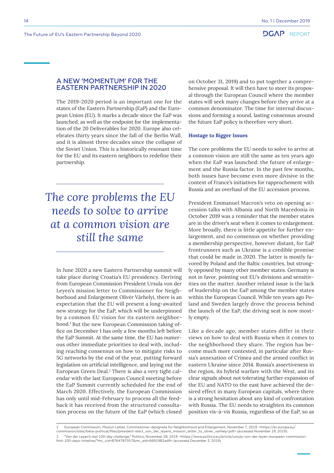# <span id="page-13-0"></span>A NEW 'MOMENTUM' FOR THE EASTERN PARTNERSHIP IN 2020

The 2019-2020 period is an important one for the states of the Eastern Partnership (EaP) and the European Union (EU). It marks a decade since the EaP was launched, as well as the endpoint for the implementation of the 20 Deliverables for 2020. Europe also celebrates thirty years since the fall of the Berlin Wall, and it is almost three decades since the collapse of the Soviet Union. This is a historically resonant time for the EU and its eastern neighbors to redefine their partnership.

*The core problems the EU needs to solve to arrive at a common vision are still the same*

In June 2020 a new Eastern Partnership summit will take place during Croatia's EU presidency. Deriving from European Commission President Ursula von der Leyen's mission letter to Commissioner for Neighborhood and Enlargement Olivér Várhelyi, there is an expectation that the EU will present a long-awaited new strategy for the EaP, which will be underpinned by a common EU vision for its eastern neighborhood.1 But the new European Commission taking office on December 1 has only a few months left before the EaP Summit. At the same time, the EU has numerous other immediate priorities to deal with, including reaching consensus on how to mitigate risks to 5G networks by the end of the year, putting forward legislation on artificial intelligence, and laying out the European Green Deal.<sup>2</sup> There is also a very tight calendar with the last European Council meeting before the EaP Summit currently scheduled for the end of March 2020. Effectively, the European Commission has only until mid-February to process all the feedback it has received from the structured consultation process on the future of the EaP (which closed

on October 31, 2019) and to put together a comprehensive proposal. It will then have to steer its proposal through the European Council where the member states will seek many changes before they arrive at a common denominator. The time for internal discussions and forming a sound, lasting consensus around the future EaP policy is therefore very short.

#### **Hostage to Bigger Issues**

The core problems the EU needs to solve to arrive at a common vision are still the same as ten years ago when the EaP was launched: the future of enlargement and the Russia factor. In the past few months, both issues have become even more divisive in the context of France's initiatives for rapprochement with Russia and an overhaul of the EU accession process.

President Emmanuel Macron's veto on opening accession talks with Albania and North Macedonia in October 2019 was a reminder that the member states are in the driver's seat when it comes to enlargement. More broadly, there is little appetite for further enlargement, and no consensus on whether providing a membership perspective, however distant, for EaP frontrunners such as Ukraine is a credible promise that could be made in 2020. The latter is mostly favored by Poland and the Baltic countries, but strongly opposed by many other member states. Germany is not in favor, pointing out EU's divisions and sensitivities on the matter. Another related issue is the lack of leadership on the EaP among the member states within the European Council. While ten years ago Poland and Sweden largely drove the process behind the launch of the EaP, the driving seat is now mostly empty.

Like a decade ago, member states differ in their views on how to deal with Russia when it comes to the neighborhood they share. The region has become much more contested, in particular after Russia's annexation of Crimea and the armed conflict in eastern Ukraine since 2014. Russia's assertiveness in the region, its hybrid warfare with the West, and its clear signals about not tolerating further expansion of the EU and NATO to the east have achieved the desired effect in many European capitals, where there is a strong hesitation about any kind of confrontation with Russia. The EU needs to straighten its common position vis-à-vis Russia, regardless of the EaP, so as

- commission/sites/beta-political/files/president-elect\_von\_der\_leyens\_mission\_letter\_to\_oliver\_varhelyi.pdf> (accessed November 19, 2019).
- 2 "Von der Leyen's real 100-day challenge," Politico, November 28, 2019. <https://www.politico.eu/article/ursula-von-der-leyen-european-commission-<br>first-100-days-timeline/?mc\_cid=8764787057&mc\_eid=6691982ad9> (accessed

<sup>1</sup> European Commission, Mission Letter, Commissioner-designate for Neighborhood and Enlargement, November 7, 2019. <https://ec.europa.eu/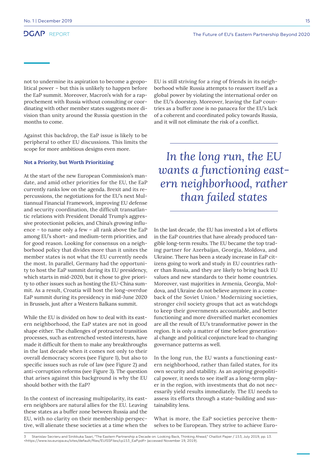not to undermine its aspiration to become a geopolitical power – but this is unlikely to happen before the EaP summit. Moreover, Macron's wish for a rapprochement with Russia without consulting or coordinating with other member states suggests more division than unity around the Russia question in the months to come.

Against this backdrop, the EaP issue is likely to be peripheral to other EU discussions. This limits the scope for more ambitious designs even more.

#### **Not a Priority, but Worth Prioritizing**

At the start of the new European Commission's mandate, and amid other priorities for the EU, the EaP currently ranks low on the agenda. Brexit and its repercussions, the negotiations for the EU's next Multiannual Financial Framework, improving EU defense and security coordination, the difficult transatlantic relations with President Donald Trump's aggressive protectionist policies, and China's growing influence – to name only a few – all rank above the EaP among EU's short- and medium-term priorities, and for good reason. Looking for consensus on a neighborhood policy that divides more than it unites the member states is not what the EU currently needs the most. In parallel, Germany had the opportunity to host the EaP summit during its EU presidency, which starts in mid-2020, but it chose to give priority to other issues such as hosting the EU-China summit. As a result, Croatia will host the long-overdue EaP summit during its presidency in mid-June 2020 in Brussels, just after a Western Balkans summit.

While the EU is divided on how to deal with its eastern neighborhood, the EaP states are not in good shape either. The challenges of protracted transition processes, such as entrenched vested interests, have made it difficult for them to make any breakthroughs in the last decade when it comes not only to their overall democracy scores (see Figure 1), but also to specific issues such as rule of law (see Figure 2) and anti-corruption reforms (see Figure 3). The question that arises against this background is why the EU should bother with the EaP?

In the context of increasing multipolarity, its eastern neighbors are natural allies for the EU. Leaving these states as a buffer zone between Russia and the EU, with no clarity on their membership perspective, will alienate these societies at a time when the EU is still striving for a ring of friends in its neighborhood while Russia attempts to reassert itself as a global power by violating the international order on the EU's doorstep. Moreover, leaving the EaP countries as a buffer zone is no panacea for the EU's lack of a coherent and coordinated policy towards Russia, and it will not eliminate the risk of a conflict.

*In the long run, the EU wants a functioning eastern neighborhood, rather than failed states*

In the last decade, the EU has invested a lot of efforts in the EaP countries that have already produced tangible long-term results. The EU became the top trading partner for Azerbaijan, Georgia, Moldova, and Ukraine. There has been a steady increase in EaP citizens going to work and study in EU countries rather than Russia, and they are likely to bring back EU values and new standards to their home countries. Moreover, vast majorities in Armenia, Georgia, Moldova, and Ukraine do not believe anymore in a comeback of the Soviet Union.3 Modernizing societies, stronger civil society groups that act as watchdogs to keep their governments accountable, and better functioning and more diversified market economies are all the result of EU's transformative power in the region. It is only a matter of time before generational change and political conjuncture lead to changing governance patterns as well.

In the long run, the EU wants a functioning eastern neighborhood, rather than failed states, for its own security and stability. As an aspiring geopolitical power, it needs to see itself as a long-term player in the region, with investments that do not necessarily yield results immediately. The EU needs to assess its efforts through a state-building and sustainability lens.

What is more, the EaP societies perceive themselves to be European. They strive to achieve Euro-

<sup>3</sup> Stanislav Secrieru and Sinikkuka Saari, "The Eastern Partnership a Decade on. Looking Back, Thinking Ahead," Chaillot Paper / 153, July 2019, pp. 13. <https://www.iss.europa.eu/sites/default/files/EUISSFiles/cp153\_EaP.pdf> (accessed November 19, 2019).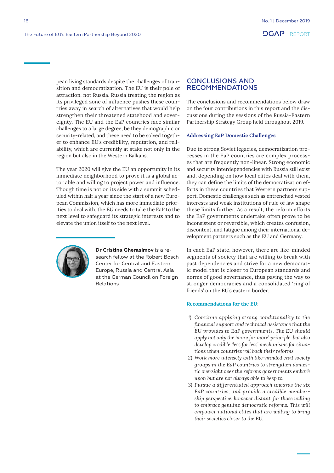<span id="page-15-0"></span>16

pean living standards despite the challenges of transition and democratization. The EU is their pole of attraction, not Russia. Russia treating the region as its privileged zone of influence pushes these countries away in search of alternatives that would help strengthen their threatened statehood and sovereignty. The EU and the EaP countries face similar challenges to a large degree, be they demographic or security-related, and these need to be solved together to enhance EU's credibility, reputation, and reliability, which are currently at stake not only in the region but also in the Western Balkans.

The year 2020 will give the EU an opportunity in its immediate neighborhood to prove it is a global actor able and willing to project power and influence. Though time is not on its side with a summit scheduled within half a year since the start of a new European Commission, which has more immediate priorities to deal with, the EU needs to take the EaP to the next level to safeguard its strategic interests and to elevate the union itself to the next level.



**Dr Cristina Gherasimov** is a research fellow at the Robert Bosch Center for Central and Eastern Europe, Russia and Central Asia at the German Council on Foreign Relations

# CONCLUSIONS AND RECOMMENDATIONS

The conclusions and recommendations below draw on the four contributions in this report and the discussions during the sessions of the Russia-Eastern Partnership Strategy Group held throughout 2019.

#### **Addressing EaP Domestic Challenges**

Due to strong Soviet legacies, democratization processes in the EaP countries are complex processes that are frequently non-linear. Strong economic and security interdependencies with Russia still exist and, depending on how local elites deal with them, they can define the limits of the democratization efforts in these countries that Western partners support. Domestic challenges such as entrenched vested interests and weak institutions of rule of law shape these limits further. As a result, the reform efforts the EaP governments undertake often prove to be inconsistent or reversible, which creates confusion, discontent, and fatigue among their international development partners such as the EU and Germany.

In each EaP state, however, there are like-minded segments of society that are willing to break with past dependencies and strive for a new democratic model that is closer to European standards and norms of good governance, thus paving the way to stronger democracies and a consolidated 'ring of friends' on the EU's eastern border.

#### **Recommendations for the EU**:

- *1) Continue applying strong conditionality to the financial support and technical assistance that the EU provides to EaP governments. The EU should apply not only the 'more for more' principle, but also develop credible 'less for less' mechanisms for situations when countries roll back their reforms.*
- *2) Work more intensely with like-minded civil society groups in the EaP countries to strengthen domestic oversight over the reforms governments embark upon but are not always able to keep to.*
- *3) Pursue a differentiated approach towards the six EaP countries, and provide a credible membership perspective, however distant, for those willing to embrace genuine democratic reforms. This will empower national elites that are willing to bring their societies closer to the EU.*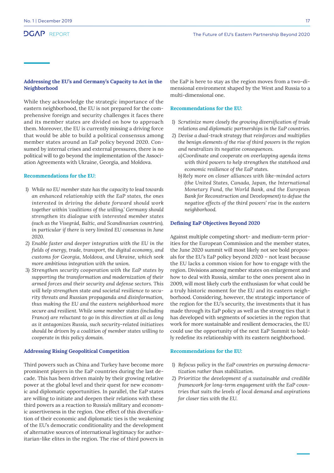### **Addressing the EU's and Germany's Capacity to Act in the Neighborhood**

While they acknowledge the strategic importance of the eastern neighborhood, the EU is not prepared for the comprehensive foreign and security challenges it faces there and its member states are divided on how to approach them. Moreover, the EU is currently missing a driving force that would be able to build a political consensus among member states around an EaP policy beyond 2020. Consumed by internal crises and external pressures, there is no political will to go beyond the implementation of the Association Agreements with Ukraine, Georgia, and Moldova.

#### **Recommendations for the EU:**

- *1) While no EU member state has the capacity to lead towards an enhanced relationship with the EaP states, the ones interested in driving the debate forward should work together within 'coalitions of the willing.' Germany should strengthen its dialogue with interested member states (such as the Visegrád, Baltic, and Scandinavian countries), in particular if there is very limited EU consensus in June 2020.*
- *2) Enable faster and deeper integration with the EU in the fields of energy, trade, transport, the digital economy, and customs for Georgia, Moldova, and Ukraine, which seek more ambitious integration with the union.*
- *3) Strengthen security cooperation with the EaP states by supporting the transformation and modernization of their armed forces and their security and defense sectors. This will help strengthen state and societal resilience to security threats and Russian propaganda and disinformation, thus making the EU and the eastern neighborhood more secure and resilient. While some member states (including France) are reluctant to go in this direction at all as long as it antagonizes Russia, such security-related initiatives should be driven by a coalition of member states willing to cooperate in this policy domain.*

#### **Addressing Rising Geopolitical Competition**

Third powers such as China and Turkey have become more prominent players in the EaP countries during the last decade. This has been driven mainly by their growing relative power at the global level and their quest for new economic and diplomatic opportunities. In parallel, the EaP states are willing to initiate and deepen their relations with these third powers as a reaction to Russia's military and economic assertiveness in the region. One effect of this diversification of their economic and diplomatic ties is the weakening of the EU's democratic conditionality and the development of alternative sources of international legitimacy for authoritarian-like elites in the region. The rise of third powers in

the EaP is here to stay as the region moves from a two-dimensional environment shaped by the West and Russia to a multi-dimensional one.

#### **Recommendations for the EU:**

- *1) Scrutinize more closely the growing diversification of trade relations and diplomatic partnerships in the EaP countries.*
- *2) Devise a dual-track strategy that reinforces and multiplies the benign elements of the rise of third powers in the region and neutralizes its negative consequences.* 
	- *a)Coordinate and cooperate on overlapping agenda items with third powers to help strengthen the statehood and economic resilience of the EaP states.*
	- *b) Rely more on closer alliances with like-minded actors (the United States, Canada, Japan, the International Monetary Fund, the World Bank, and the European Bank for Reconstruction and Development) to defuse the negative effects of the third powers' rise in the eastern neighborhood.*

#### **Defining EaP Objectives Beyond 2020**

Against multiple competing short- and medium-term priorities for the European Commission and the member states, the June 2020 summit will most likely not see bold proposals for the EU's EaP policy beyond 2020 – not least because the EU lacks a common vision for how to engage with the region. Divisions among member states on enlargement and how to deal with Russia, similar to the ones present also in 2009, will most likely curb the enthusiasm for what could be a truly historic moment for the EU and its eastern neighborhood. Considering, however, the strategic importance of the region for the EU's security, the investments that it has made through its EaP policy as well as the strong ties that it has developed with segments of societies in the region that work for more sustainable and resilient democracies, the EU could use the opportunity of the next EaP Summit to boldly redefine its relationship with its eastern neighborhood.

#### **Recommendations for the EU:**

- *1) Refocus policy in the EaP countries on pursuing democratization rather than stabilization.*
- *2) Prioritize the development of a sustainable and credible framework for long-term engagement with the EaP countries that suits the levels of local demand and aspirations for closer ties with the EU.*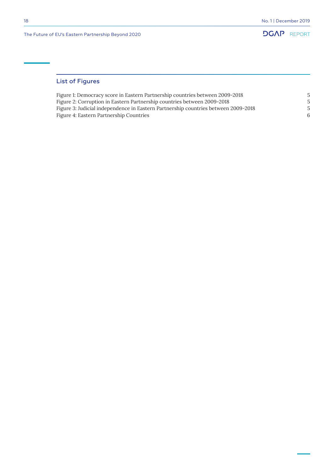

# List of Figures

| Figure 1: Democracy score in Eastern Partnership countries between 2009-2018       |  |
|------------------------------------------------------------------------------------|--|
| Figure 2: Corruption in Eastern Partnership countries between 2009–2018            |  |
| Figure 3: Judicial independence in Eastern Partnership countries between 2009-2018 |  |
| Figure 4: Eastern Partnership Countries                                            |  |